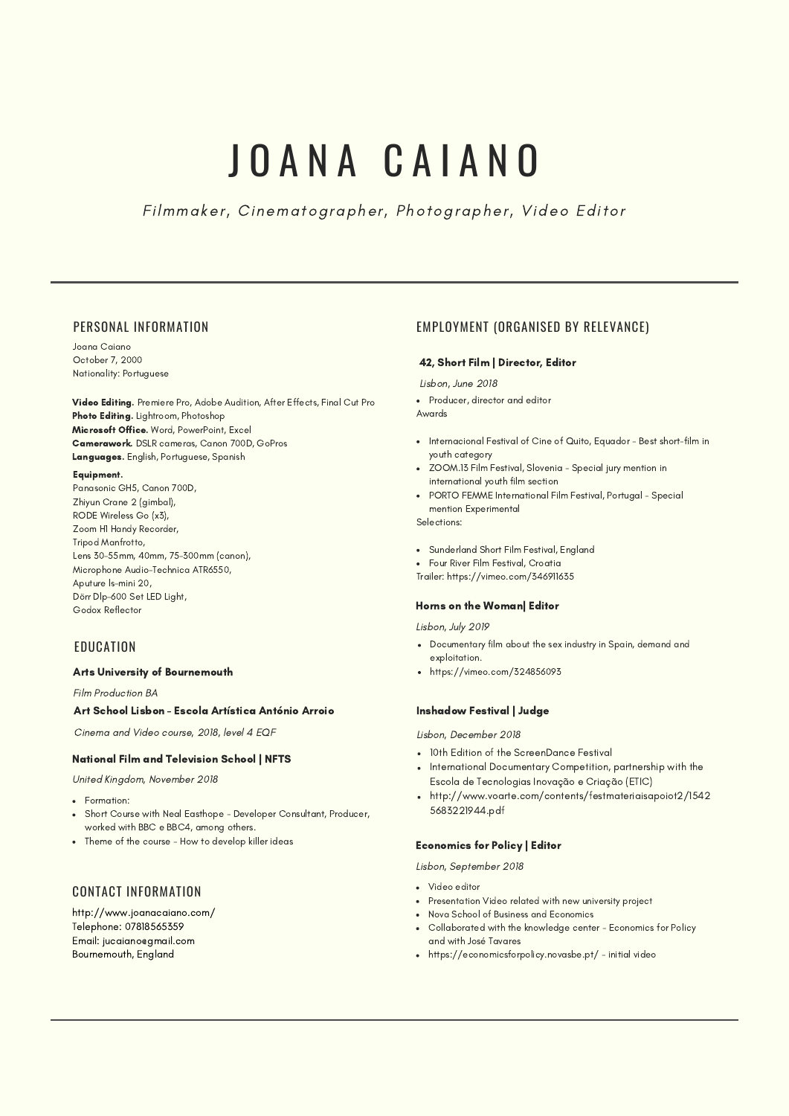# J O A N A C A I A N O

Filmmaker, Cinematographer, Photographer, Video Editor

## PERSONAL INFORMATION

Joana Caiano October 7, 2000 Nationality: Portuguese

Video Editing. Premiere Pro, Adobe Audition, After Effects, Final Cut Pro Photo Editing. Lightroom, Photoshop Microsoft Office. Word, PowerPoint, Excel Camerawork. DSLR cameras, Canon 700D, GoPros Languages. English, Portuguese, Spanish

### Equipment.

Panasonic GH5, Canon 700D, Zhiyun Crane 2 (gimbal), RODE Wireless Go (x3), Zoom H1 Handy Recorder, Tripod Manfrotto, Lens 30-55mm, 40mm, 75-300mm (canon), Microphone Audio-Technica ATR6550, Aputure ls-mini 20, Dörr Dlp-600 Set LED Light, Godox Reflector

## **EDUCATION**

## Arts University of Bournemouth

Film Production BA

### Art School Lisbon - Escola Artística António Arroio

Cinema and Video course, 2018, level 4 EQF

### National Film and Television School | NFTS

United Kingdom, November 2018

- Formation:
- Short Course with Neal Easthope Developer Consultant, Producer, worked with BBC e BBC4, among others.
- Theme of the course How to develop killer ideas

# CONTACT INFORMATION

http://www.joanacaiano.com/ Telephone: 07818565359 Email: jucaiano@gmail.com Bournemouth, England

## EMPLOYMENT (ORGANISED BY RELEVANCE)

### 42, Short Film | Director, Editor

#### Lisbon, June 2018

• Producer, director and editor

Awards

- Internacional Festival of Cine of Quito, Equador Best short-film in youth category
- ZOOM.13 Film Festival, Slovenia Special jury mention in international youth film section
- PORTO FEMME International Film Festival, Portugal Special mention Experimental

Selections:

- Sunderland Short Film Festival, England
- Four River Film Festival, Croatia
- Trailer: <https://vimeo.com/346911635>

### Horns on the Woman| Editor

Lisbon, July 2019

- Documentary film about the sex industry in Spain, demand and exploitation.
- https://vimeo.com/324856093

#### Inshadow Festival | Judge

Lisbon, December 2018

- 10th Edition of the ScreenDance Festival
- International Documentary Competition, partnership with the Escola de Tecnologias Inovação e Criação (ETIC)
- http://www.voarte.com/contents/festmateriaisapoiot2/1542 5683221944.pdf

### Economics for Policy | Editor

Lisbon, September 2018

- Video editor
- Presentation Video related with new university project
- Nova School of Business and Economics
- Collaborated with the knowledge center Economics for Policy and with José Tavares
- https://economicsforpolicy.novasbe.pt/ initial video